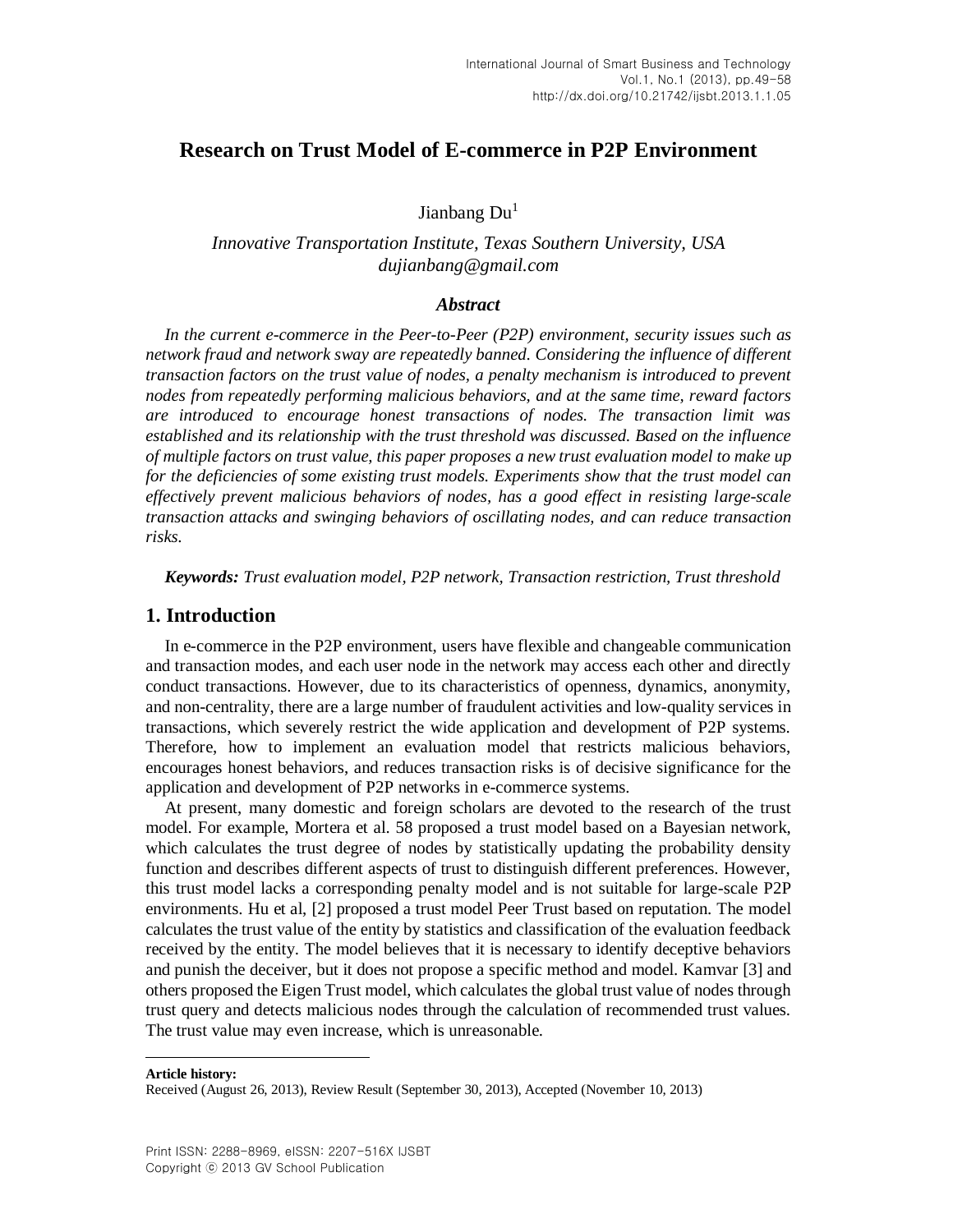# **Research on Trust Model of E-commerce in P2P Environment**

Jianbang  $Du<sup>1</sup>$ 

# *Innovative Transportation Institute, Texas Southern University, USA dujianbang@gmail.com*

#### *Abstract*

*In the current e-commerce in the Peer-to-Peer (P2P) environment, security issues such as network fraud and network sway are repeatedly banned. Considering the influence of different transaction factors on the trust value of nodes, a penalty mechanism is introduced to prevent nodes from repeatedly performing malicious behaviors, and at the same time, reward factors are introduced to encourage honest transactions of nodes. The transaction limit was established and its relationship with the trust threshold was discussed. Based on the influence of multiple factors on trust value, this paper proposes a new trust evaluation model to make up for the deficiencies of some existing trust models. Experiments show that the trust model can effectively prevent malicious behaviors of nodes, has a good effect in resisting large-scale transaction attacks and swinging behaviors of oscillating nodes, and can reduce transaction risks.*

*Keywords: Trust evaluation model, P2P network, Transaction restriction, Trust threshold*

## **1. Introduction**

In e-commerce in the P2P environment, users have flexible and changeable communication and transaction modes, and each user node in the network may access each other and directly conduct transactions. However, due to its characteristics of openness, dynamics, anonymity, and non-centrality, there are a large number of fraudulent activities and low-quality services in transactions, which severely restrict the wide application and development of P2P systems. Therefore, how to implement an evaluation model that restricts malicious behaviors, encourages honest behaviors, and reduces transaction risks is of decisive significance for the application and development of P2P networks in e-commerce systems.

At present, many domestic and foreign scholars are devoted to the research of the trust model. For example, Mortera et al. [58](#page-9-0) proposed a trust model based on a Bayesian network, which calculates the trust degree of nodes by statistically updating the probability density function and describes different aspects of trust to distinguish different preferences. However, this trust model lacks a corresponding penalty model and is not suitable for large-scale P2P environments. Hu et al, [\[2\]](#page-9-1) proposed a trust model Peer Trust based on reputation. The model calculates the trust value of the entity by statistics and classification of the evaluation feedback received by the entity. The model believes that it is necessary to identify deceptive behaviors and punish the deceiver, but it does not propose a specific method and model. Kamvar [\[3\]](#page-9-2) and others proposed the Eigen Trust model, which calculates the global trust value of nodes through trust query and detects malicious nodes through the calculation of recommended trust values. The trust value may even increase, which is unreasonable.

**Article history:**

 $\overline{a}$ 

Received (August 26, 2013), Review Result (September 30, 2013), Accepted (November 10, 2013)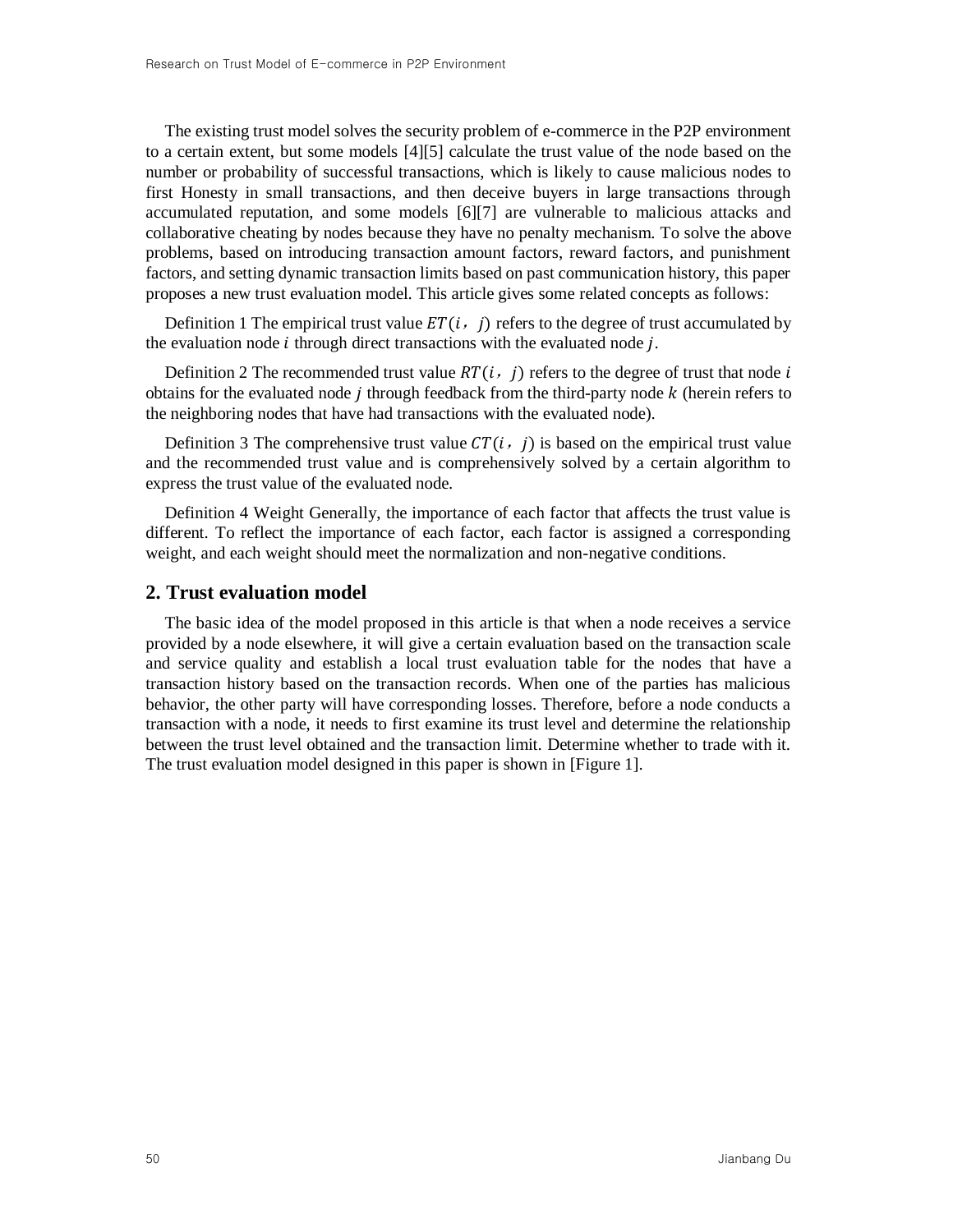The existing trust model solves the security problem of e-commerce in the P2P environment to a certain extent, but some models [\[4\]\[5\]](#page-9-3) calculate the trust value of the node based on the number or probability of successful transactions, which is likely to cause malicious nodes to first Honesty in small transactions, and then deceive buyers in large transactions through accumulated reputation, and some models [\[6\]\[7\]](#page-9-4) are vulnerable to malicious attacks and collaborative cheating by nodes because they have no penalty mechanism. To solve the above problems, based on introducing transaction amount factors, reward factors, and punishment factors, and setting dynamic transaction limits based on past communication history, this paper proposes a new trust evaluation model. This article gives some related concepts as follows:

Definition 1 The empirical trust value  $ET(i, j)$  refers to the degree of trust accumulated by the evaluation node  $i$  through direct transactions with the evaluated node  $j$ .

Definition 2 The recommended trust value  $RT(i, j)$  refers to the degree of trust that node i obtains for the evaluated node  $j$  through feedback from the third-party node  $k$  (herein refers to the neighboring nodes that have had transactions with the evaluated node).

Definition 3 The comprehensive trust value  $CT(i, j)$  is based on the empirical trust value and the recommended trust value and is comprehensively solved by a certain algorithm to express the trust value of the evaluated node.

Definition 4 Weight Generally, the importance of each factor that affects the trust value is different. To reflect the importance of each factor, each factor is assigned a corresponding weight, and each weight should meet the normalization and non-negative conditions.

# **2. Trust evaluation model**

The basic idea of the model proposed in this article is that when a node receives a service provided by a node elsewhere, it will give a certain evaluation based on the transaction scale and service quality and establish a local trust evaluation table for the nodes that have a transaction history based on the transaction records. When one of the parties has malicious behavior, the other party will have corresponding losses. Therefore, before a node conducts a transaction with a node, it needs to first examine its trust level and determine the relationship between the trust level obtained and the transaction limit. Determine whether to trade with it. The trust evaluation model designed in this paper is shown in [Figure 1].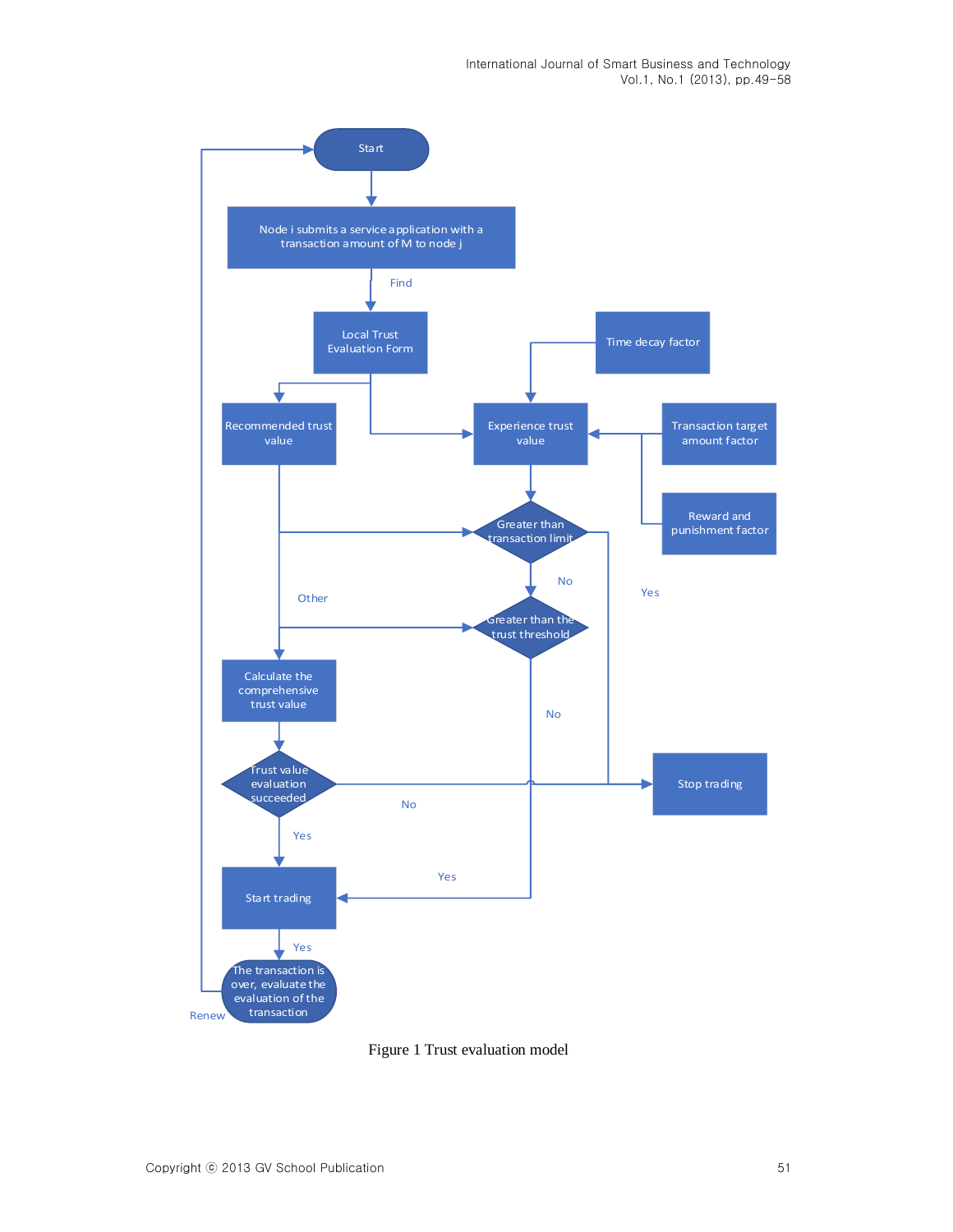

Figure 1 Trust evaluation model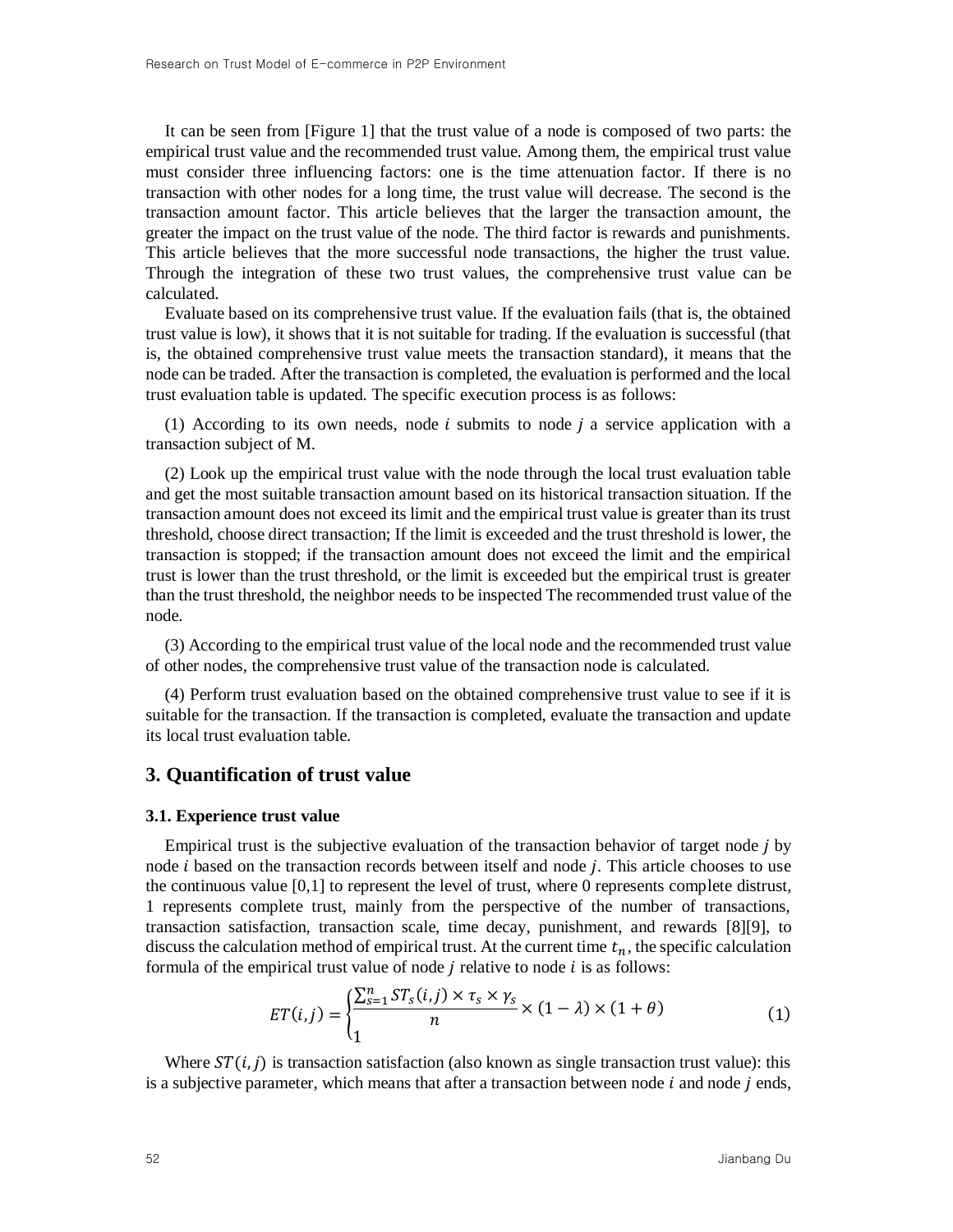It can be seen from [Figure 1] that the trust value of a node is composed of two parts: the empirical trust value and the recommended trust value. Among them, the empirical trust value must consider three influencing factors: one is the time attenuation factor. If there is no transaction with other nodes for a long time, the trust value will decrease. The second is the transaction amount factor. This article believes that the larger the transaction amount, the greater the impact on the trust value of the node. The third factor is rewards and punishments. This article believes that the more successful node transactions, the higher the trust value. Through the integration of these two trust values, the comprehensive trust value can be calculated.

Evaluate based on its comprehensive trust value. If the evaluation fails (that is, the obtained trust value is low), it shows that it is not suitable for trading. If the evaluation is successful (that is, the obtained comprehensive trust value meets the transaction standard), it means that the node can be traded. After the transaction is completed, the evaluation is performed and the local trust evaluation table is updated. The specific execution process is as follows:

(1) According to its own needs, node  $i$  submits to node  $j$  a service application with a transaction subject of M.

(2) Look up the empirical trust value with the node through the local trust evaluation table and get the most suitable transaction amount based on its historical transaction situation. If the transaction amount does not exceed its limit and the empirical trust value is greater than its trust threshold, choose direct transaction; If the limit is exceeded and the trust threshold is lower, the transaction is stopped; if the transaction amount does not exceed the limit and the empirical trust is lower than the trust threshold, or the limit is exceeded but the empirical trust is greater than the trust threshold, the neighbor needs to be inspected The recommended trust value of the node.

(3) According to the empirical trust value of the local node and the recommended trust value of other nodes, the comprehensive trust value of the transaction node is calculated.

(4) Perform trust evaluation based on the obtained comprehensive trust value to see if it is suitable for the transaction. If the transaction is completed, evaluate the transaction and update its local trust evaluation table.

### **3. Quantification of trust value**

#### **3.1. Experience trust value**

Empirical trust is the subjective evaluation of the transaction behavior of target node  $j$  by node  $i$  based on the transaction records between itself and node  $j$ . This article chooses to use the continuous value  $[0,1]$  to represent the level of trust, where 0 represents complete distrust, 1 represents complete trust, mainly from the perspective of the number of transactions, transaction satisfaction, transaction scale, time decay, punishment, and rewards [\[8\]\[9\],](#page-9-5) to discuss the calculation method of empirical trust. At the current time  $t_n$ , the specific calculation formula of the empirical trust value of node  $j$  relative to node  $i$  is as follows:

$$
ET(i,j) = \begin{cases} \frac{\sum_{s=1}^{n} ST_s(i,j) \times \tau_s \times \gamma_s}{n} \times (1-\lambda) \times (1+\theta) \\ 1 \end{cases}
$$
 (1)

Where  $ST(i, j)$  is transaction satisfaction (also known as single transaction trust value): this is a subjective parameter, which means that after a transaction between node  $i$  and node  $j$  ends,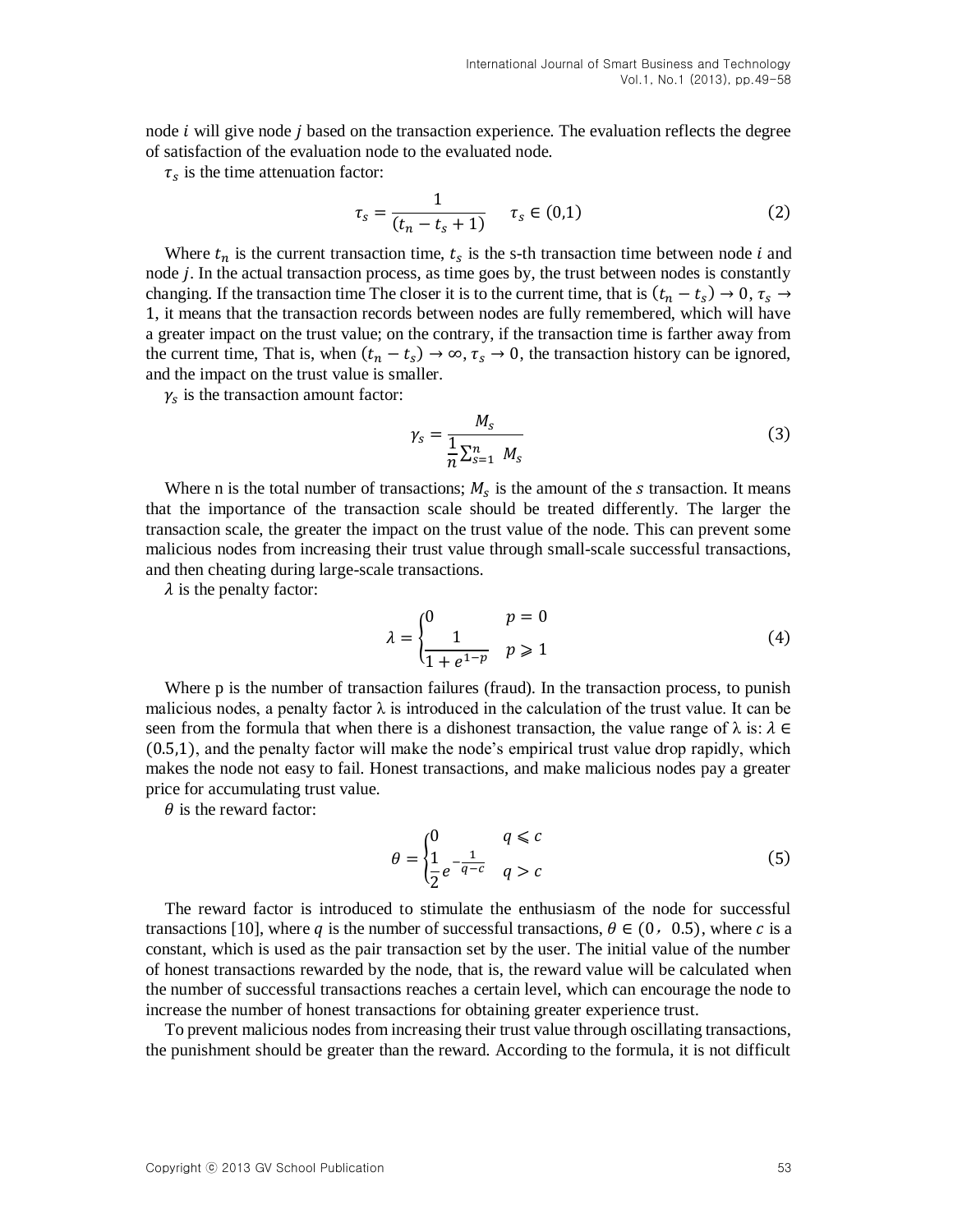node  $i$  will give node  $j$  based on the transaction experience. The evaluation reflects the degree of satisfaction of the evaluation node to the evaluated node.

 $\tau_s$  is the time attenuation factor:

$$
\tau_s = \frac{1}{(t_n - t_s + 1)} \quad \tau_s \in (0, 1)
$$
 (2)

Where  $t_n$  is the current transaction time,  $t_s$  is the s-th transaction time between node *i* and node  $j$ . In the actual transaction process, as time goes by, the trust between nodes is constantly changing. If the transaction time The closer it is to the current time, that is  $(t_n - t_s) \to 0$ ,  $\tau_s \to$ 1, it means that the transaction records between nodes are fully remembered, which will have a greater impact on the trust value; on the contrary, if the transaction time is farther away from the current time, That is, when  $(t_n - t_s) \to \infty$ ,  $\tau_s \to 0$ , the transaction history can be ignored, and the impact on the trust value is smaller.

 $\gamma_s$  is the transaction amount factor:

$$
\gamma_s = \frac{M_s}{\frac{1}{n} \sum_{s=1}^n M_s} \tag{3}
$$

Where n is the total number of transactions;  $M_s$  is the amount of the s transaction. It means that the importance of the transaction scale should be treated differently. The larger the transaction scale, the greater the impact on the trust value of the node. This can prevent some malicious nodes from increasing their trust value through small-scale successful transactions, and then cheating during large-scale transactions.

 $\lambda$  is the penalty factor:

$$
\lambda = \begin{cases} 0 & p = 0 \\ \frac{1}{1 + e^{1 - p}} & p \ge 1 \end{cases} \tag{4}
$$

Where p is the number of transaction failures (fraud). In the transaction process, to punish malicious nodes, a penalty factor  $\lambda$  is introduced in the calculation of the trust value. It can be seen from the formula that when there is a dishonest transaction, the value range of  $\lambda$  is:  $\lambda \in$ (0.5,1), and the penalty factor will make the node's empirical trust value drop rapidly, which makes the node not easy to fail. Honest transactions, and make malicious nodes pay a greater price for accumulating trust value.

 $\theta$  is the reward factor:

$$
\theta = \begin{cases} 0 & q \leq c \\ \frac{1}{2}e^{-\frac{1}{q-c}} & q > c \end{cases}
$$
 (5)

The reward factor is introduced to stimulate the enthusiasm of the node for successful transactions [\[10\],](#page-9-6) where q is the number of successful transactions,  $\theta \in (0, 0.5)$ , where c is a constant, which is used as the pair transaction set by the user. The initial value of the number of honest transactions rewarded by the node, that is, the reward value will be calculated when the number of successful transactions reaches a certain level, which can encourage the node to increase the number of honest transactions for obtaining greater experience trust.

To prevent malicious nodes from increasing their trust value through oscillating transactions, the punishment should be greater than the reward. According to the formula, it is not difficult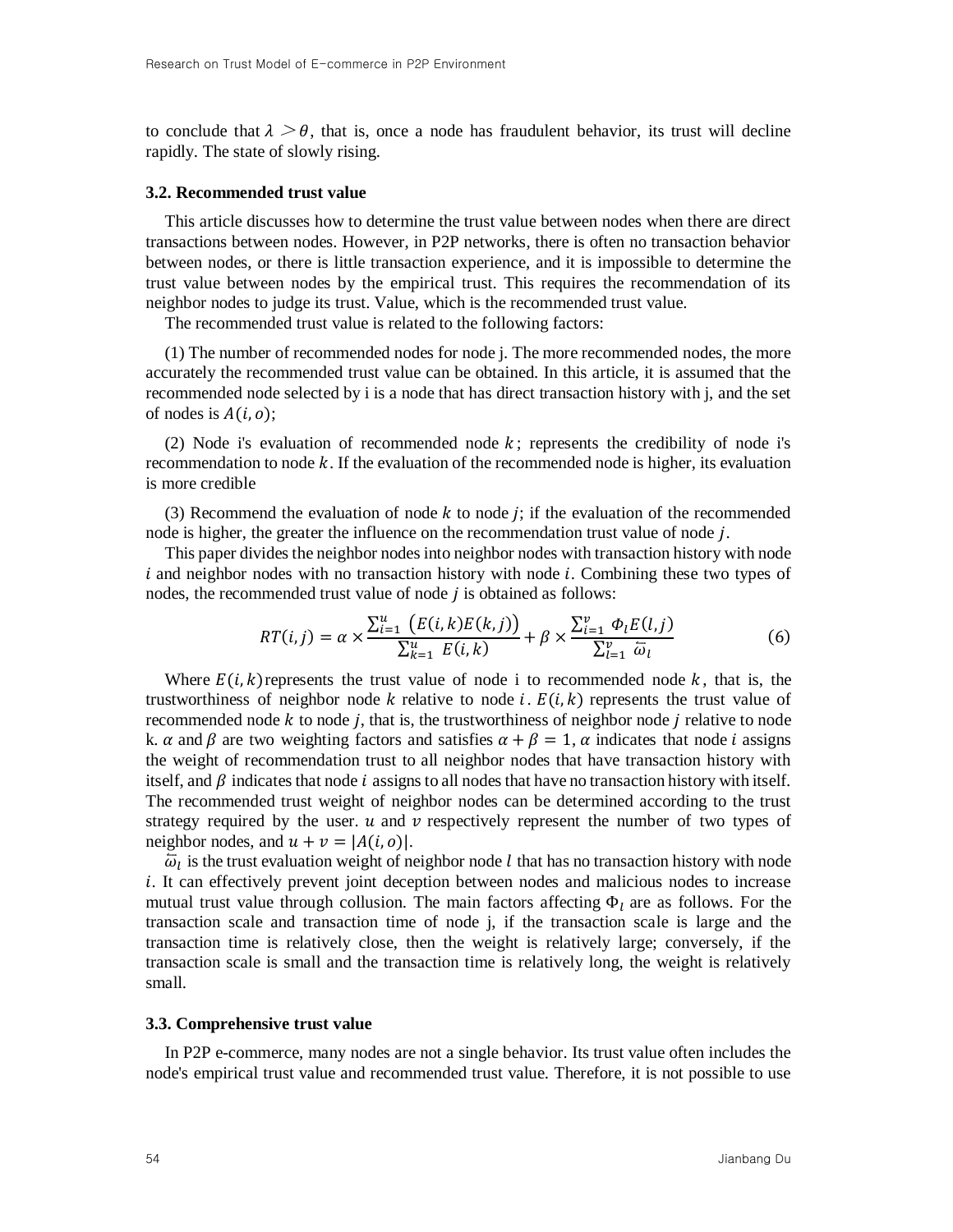to conclude that  $\lambda > \theta$ , that is, once a node has fraudulent behavior, its trust will decline rapidly. The state of slowly rising.

#### **3.2. Recommended trust value**

This article discusses how to determine the trust value between nodes when there are direct transactions between nodes. However, in P2P networks, there is often no transaction behavior between nodes, or there is little transaction experience, and it is impossible to determine the trust value between nodes by the empirical trust. This requires the recommendation of its neighbor nodes to judge its trust. Value, which is the recommended trust value.

The recommended trust value is related to the following factors:

(1) The number of recommended nodes for node j. The more recommended nodes, the more accurately the recommended trust value can be obtained. In this article, it is assumed that the recommended node selected by i is a node that has direct transaction history with j, and the set of nodes is  $A(i, o)$ ;

(2) Node i's evaluation of recommended node  $k$ ; represents the credibility of node i's recommendation to node  $k$ . If the evaluation of the recommended node is higher, its evaluation is more credible

(3) Recommend the evaluation of node  $k$  to node  $j$ ; if the evaluation of the recommended node is higher, the greater the influence on the recommendation trust value of node  $j$ .

This paper divides the neighbor nodes into neighbor nodes with transaction history with node  $i$  and neighbor nodes with no transaction history with node  $i$ . Combining these two types of nodes, the recommended trust value of node  $j$  is obtained as follows:

$$
RT(i,j) = \alpha \times \frac{\sum_{i=1}^{u} (E(i,k)E(k,j))}{\sum_{k=1}^{u} E(i,k)} + \beta \times \frac{\sum_{i=1}^{v} \Phi_{l}E(l,j)}{\sum_{l=1}^{v} \bar{\omega}_{l}}
$$
(6)

Where  $E(i, k)$  represents the trust value of node i to recommended node k, that is, the trustworthiness of neighbor node k relative to node i.  $E(i, k)$  represents the trust value of recommended node  $k$  to node  $j$ , that is, the trustworthiness of neighbor node  $j$  relative to node k.  $\alpha$  and  $\beta$  are two weighting factors and satisfies  $\alpha + \beta = 1$ ,  $\alpha$  indicates that node *i* assigns the weight of recommendation trust to all neighbor nodes that have transaction history with itself, and  $\beta$  indicates that node i assigns to all nodes that have no transaction history with itself. The recommended trust weight of neighbor nodes can be determined according to the trust strategy required by the user.  $u$  and  $v$  respectively represent the number of two types of neighbor nodes, and  $u + v = |A(i, o)|$ .

 $\overline{\omega}_l$  is the trust evaluation weight of neighbor node l that has no transaction history with node . It can effectively prevent joint deception between nodes and malicious nodes to increase mutual trust value through collusion. The main factors affecting  $\Phi_l$  are as follows. For the transaction scale and transaction time of node j, if the transaction scale is large and the transaction time is relatively close, then the weight is relatively large; conversely, if the transaction scale is small and the transaction time is relatively long, the weight is relatively small.

#### **3.3. Comprehensive trust value**

In P2P e-commerce, many nodes are not a single behavior. Its trust value often includes the node's empirical trust value and recommended trust value. Therefore, it is not possible to use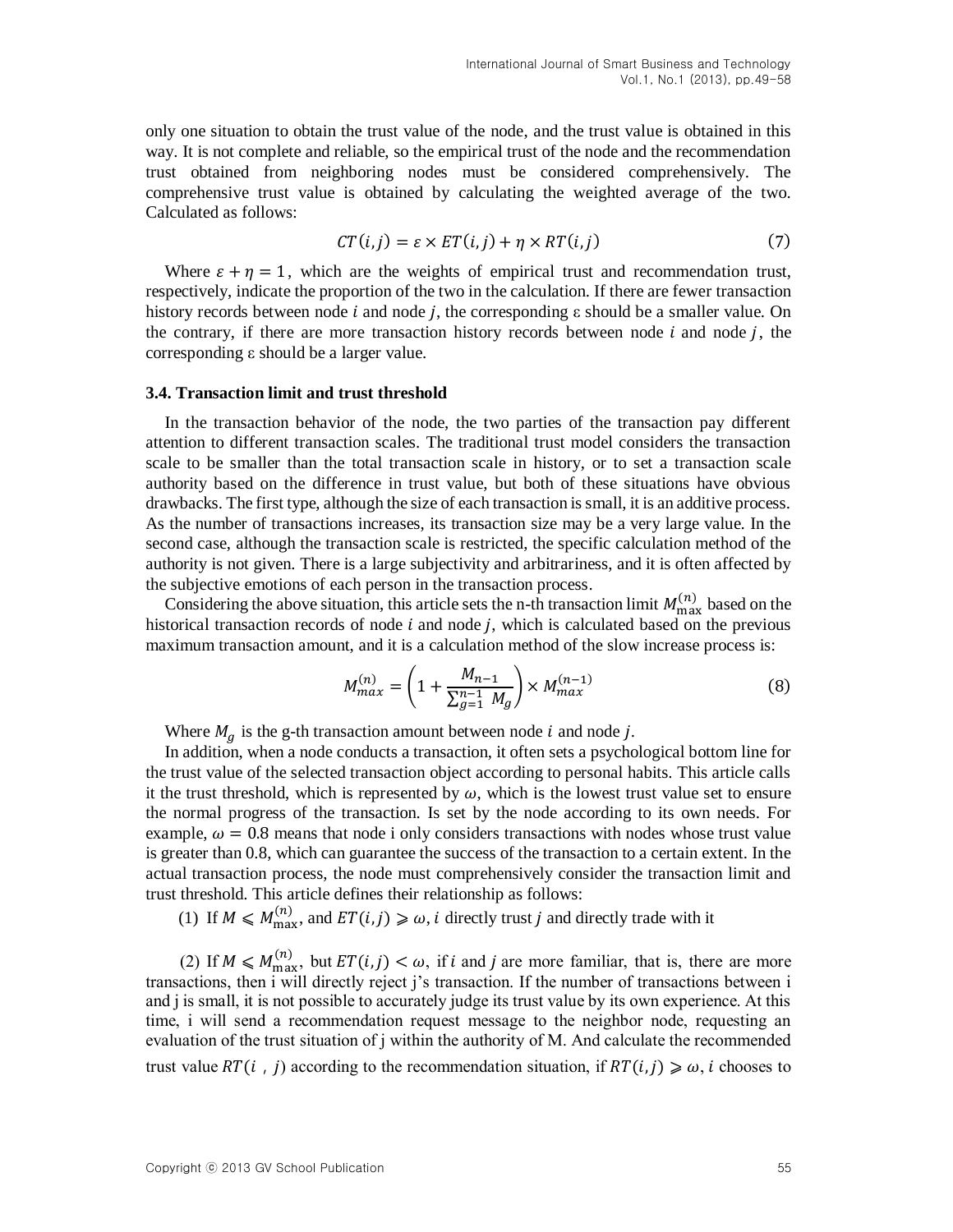only one situation to obtain the trust value of the node, and the trust value is obtained in this way. It is not complete and reliable, so the empirical trust of the node and the recommendation trust obtained from neighboring nodes must be considered comprehensively. The comprehensive trust value is obtained by calculating the weighted average of the two. Calculated as follows:

$$
CT(i,j) = \varepsilon \times ET(i,j) + \eta \times RT(i,j) \tag{7}
$$

Where  $\varepsilon + \eta = 1$ , which are the weights of empirical trust and recommendation trust, respectively, indicate the proportion of the two in the calculation. If there are fewer transaction history records between node *i* and node *j*, the corresponding  $\varepsilon$  should be a smaller value. On the contrary, if there are more transaction history records between node  $i$  and node  $j$ , the corresponding ε should be a larger value.

#### **3.4. Transaction limit and trust threshold**

In the transaction behavior of the node, the two parties of the transaction pay different attention to different transaction scales. The traditional trust model considers the transaction scale to be smaller than the total transaction scale in history, or to set a transaction scale authority based on the difference in trust value, but both of these situations have obvious drawbacks. The first type, although the size of each transaction is small, it is an additive process. As the number of transactions increases, its transaction size may be a very large value. In the second case, although the transaction scale is restricted, the specific calculation method of the authority is not given. There is a large subjectivity and arbitrariness, and it is often affected by the subjective emotions of each person in the transaction process.

Considering the above situation, this article sets the n-th transaction limit  $M_{\text{max}}^{(n)}$  based on the historical transaction records of node  $i$  and node  $j$ , which is calculated based on the previous maximum transaction amount, and it is a calculation method of the slow increase process is:

$$
M_{max}^{(n)} = \left(1 + \frac{M_{n-1}}{\sum_{g=1}^{n-1} M_g}\right) \times M_{max}^{(n-1)}
$$
(8)

Where  $M_a$  is the g-th transaction amount between node *i* and node *j*.

In addition, when a node conducts a transaction, it often sets a psychological bottom line for the trust value of the selected transaction object according to personal habits. This article calls it the trust threshold, which is represented by  $\omega$ , which is the lowest trust value set to ensure the normal progress of the transaction. Is set by the node according to its own needs. For example,  $\omega = 0.8$  means that node i only considers transactions with nodes whose trust value is greater than 0.8, which can guarantee the success of the transaction to a certain extent. In the actual transaction process, the node must comprehensively consider the transaction limit and trust threshold. This article defines their relationship as follows:

(1) If  $M \nleq M_{\text{max}}^{(n)}$ , and  $ET(i, j) \geq \omega$ , *i* directly trust *j* and directly trade with it

(2) If  $M \nleq M_{\text{max}}^{(n)}$ , but  $ET(i, j) < \omega$ , if i and j are more familiar, that is, there are more transactions, then i will directly reject j's transaction. If the number of transactions between i and j is small, it is not possible to accurately judge its trust value by its own experience. At this time, i will send a recommendation request message to the neighbor node, requesting an evaluation of the trust situation of j within the authority of M. And calculate the recommended trust value RT(*i*, *j*) according to the recommendation situation, if  $RT(i,j) \geq \omega$ , *i* chooses to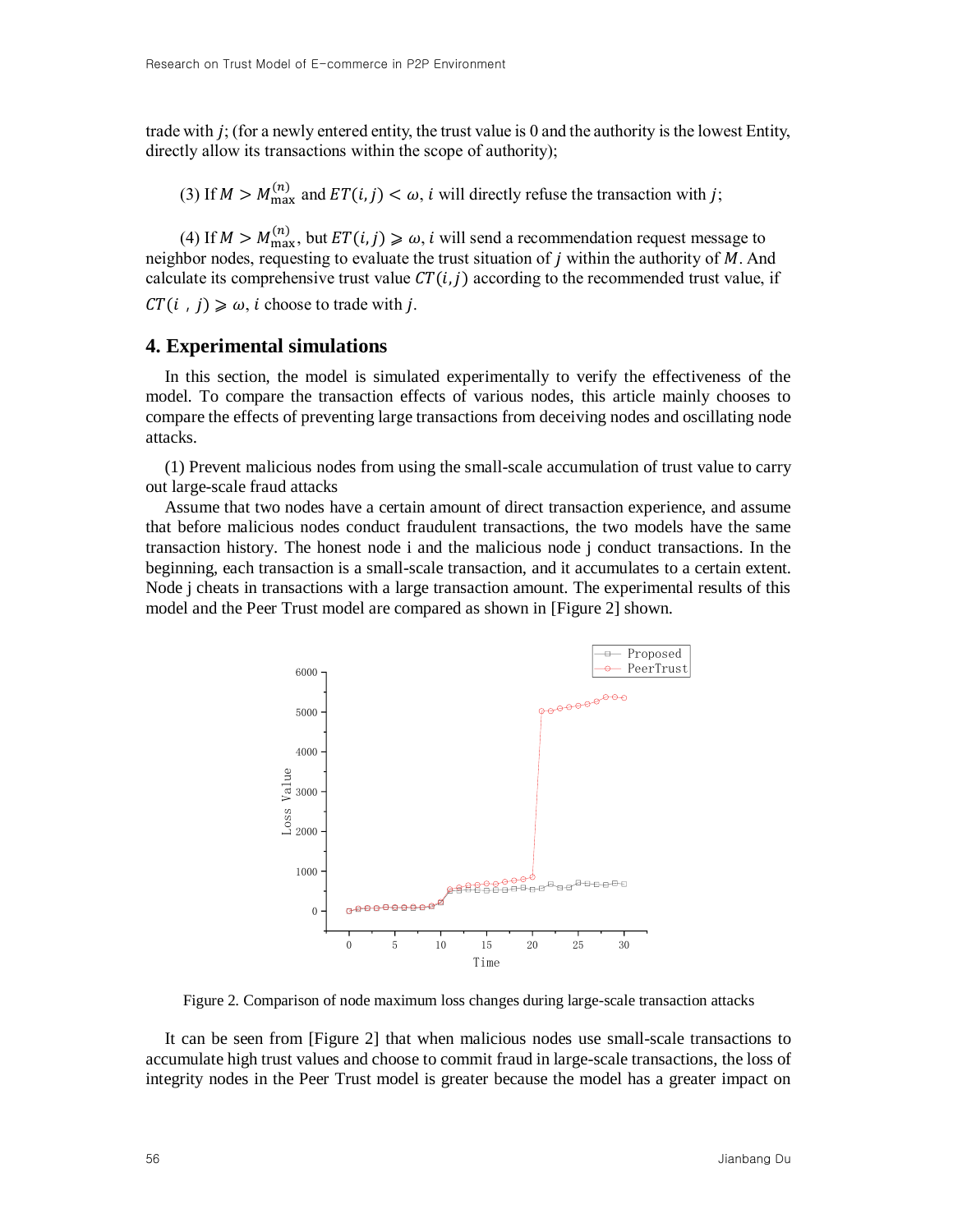trade with ; (for a newly entered entity, the trust value is 0 and the authority is the lowest Entity, directly allow its transactions within the scope of authority);

(3) If  $M > M_{\text{max}}^{(n)}$  and  $ET(i, j) < \omega$ , *i* will directly refuse the transaction with *j*;

(4) If  $M > M_{\text{max}}^{(n)}$ , but  $ET(i, j) \geq \omega$ , *i* will send a recommendation request message to neighbor nodes, requesting to evaluate the trust situation of  $j$  within the authority of  $M$ . And calculate its comprehensive trust value  $CT(i, j)$  according to the recommended trust value, if

 $CT(i, j) \geq \omega$ , *i* choose to trade with *j*.

# **4. Experimental simulations**

In this section, the model is simulated experimentally to verify the effectiveness of the model. To compare the transaction effects of various nodes, this article mainly chooses to compare the effects of preventing large transactions from deceiving nodes and oscillating node attacks.

(1) Prevent malicious nodes from using the small-scale accumulation of trust value to carry out large-scale fraud attacks

Assume that two nodes have a certain amount of direct transaction experience, and assume that before malicious nodes conduct fraudulent transactions, the two models have the same transaction history. The honest node i and the malicious node j conduct transactions. In the beginning, each transaction is a small-scale transaction, and it accumulates to a certain extent. Node j cheats in transactions with a large transaction amount. The experimental results of this model and the Peer Trust model are compared as shown in [Figure 2] shown.



Figure 2. Comparison of node maximum loss changes during large-scale transaction attacks

It can be seen from [Figure 2] that when malicious nodes use small-scale transactions to accumulate high trust values and choose to commit fraud in large-scale transactions, the loss of integrity nodes in the Peer Trust model is greater because the model has a greater impact on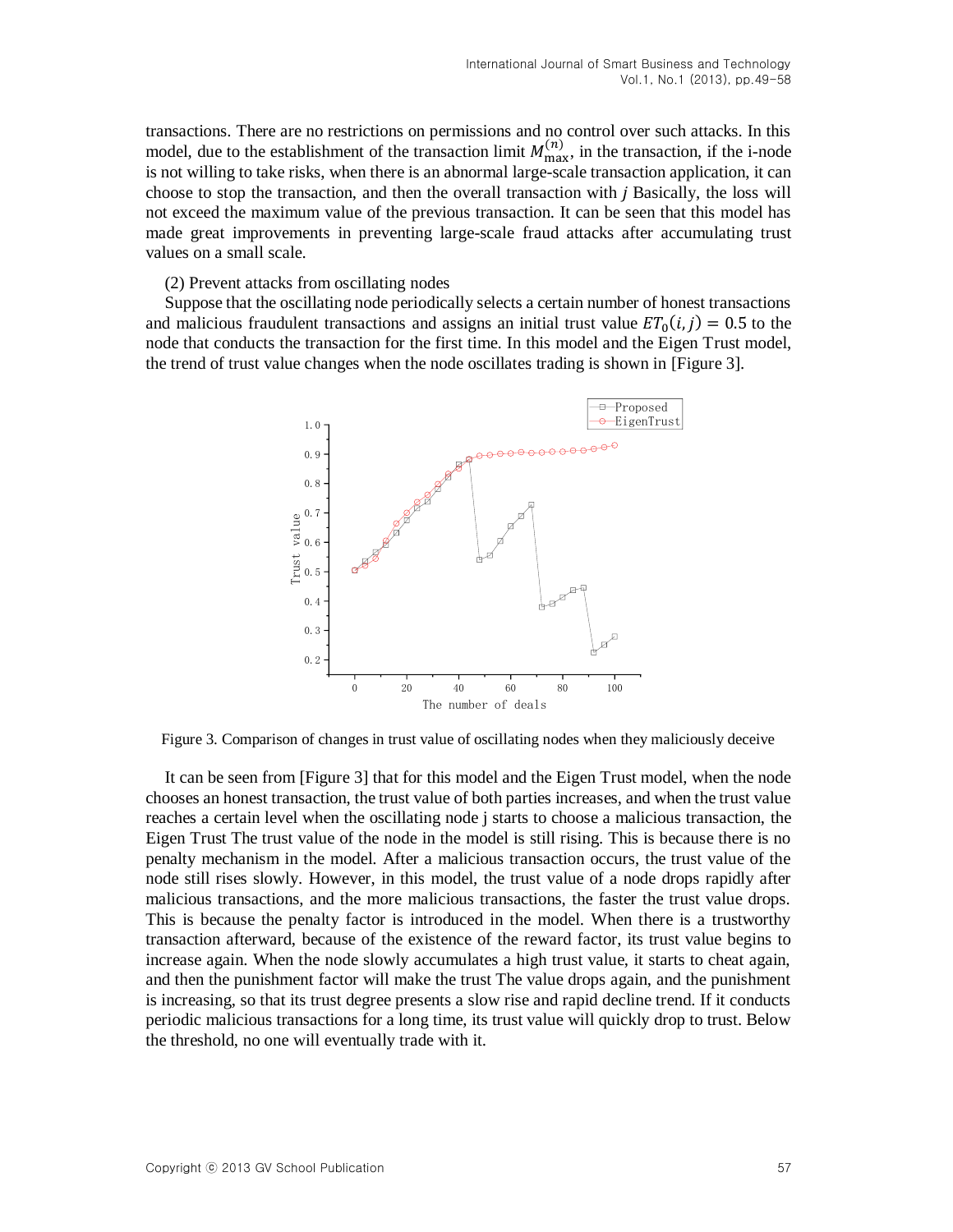transactions. There are no restrictions on permissions and no control over such attacks. In this model, due to the establishment of the transaction limit  $M_{\text{max}}^{(n)}$ , in the transaction, if the i-node is not willing to take risks, when there is an abnormal large-scale transaction application, it can choose to stop the transaction, and then the overall transaction with  $i$  Basically, the loss will not exceed the maximum value of the previous transaction. It can be seen that this model has made great improvements in preventing large-scale fraud attacks after accumulating trust values on a small scale.

### (2) Prevent attacks from oscillating nodes

Suppose that the oscillating node periodically selects a certain number of honest transactions and malicious fraudulent transactions and assigns an initial trust value  $ET_0(i, j) = 0.5$  to the node that conducts the transaction for the first time. In this model and the Eigen Trust model, the trend of trust value changes when the node oscillates trading is shown in [Figure 3].



Figure 3. Comparison of changes in trust value of oscillating nodes when they maliciously deceive

It can be seen from [Figure 3] that for this model and the Eigen Trust model, when the node chooses an honest transaction, the trust value of both parties increases, and when the trust value reaches a certain level when the oscillating node j starts to choose a malicious transaction, the Eigen Trust The trust value of the node in the model is still rising. This is because there is no penalty mechanism in the model. After a malicious transaction occurs, the trust value of the node still rises slowly. However, in this model, the trust value of a node drops rapidly after malicious transactions, and the more malicious transactions, the faster the trust value drops. This is because the penalty factor is introduced in the model. When there is a trustworthy transaction afterward, because of the existence of the reward factor, its trust value begins to increase again. When the node slowly accumulates a high trust value, it starts to cheat again, and then the punishment factor will make the trust The value drops again, and the punishment is increasing, so that its trust degree presents a slow rise and rapid decline trend. If it conducts periodic malicious transactions for a long time, its trust value will quickly drop to trust. Below the threshold, no one will eventually trade with it.